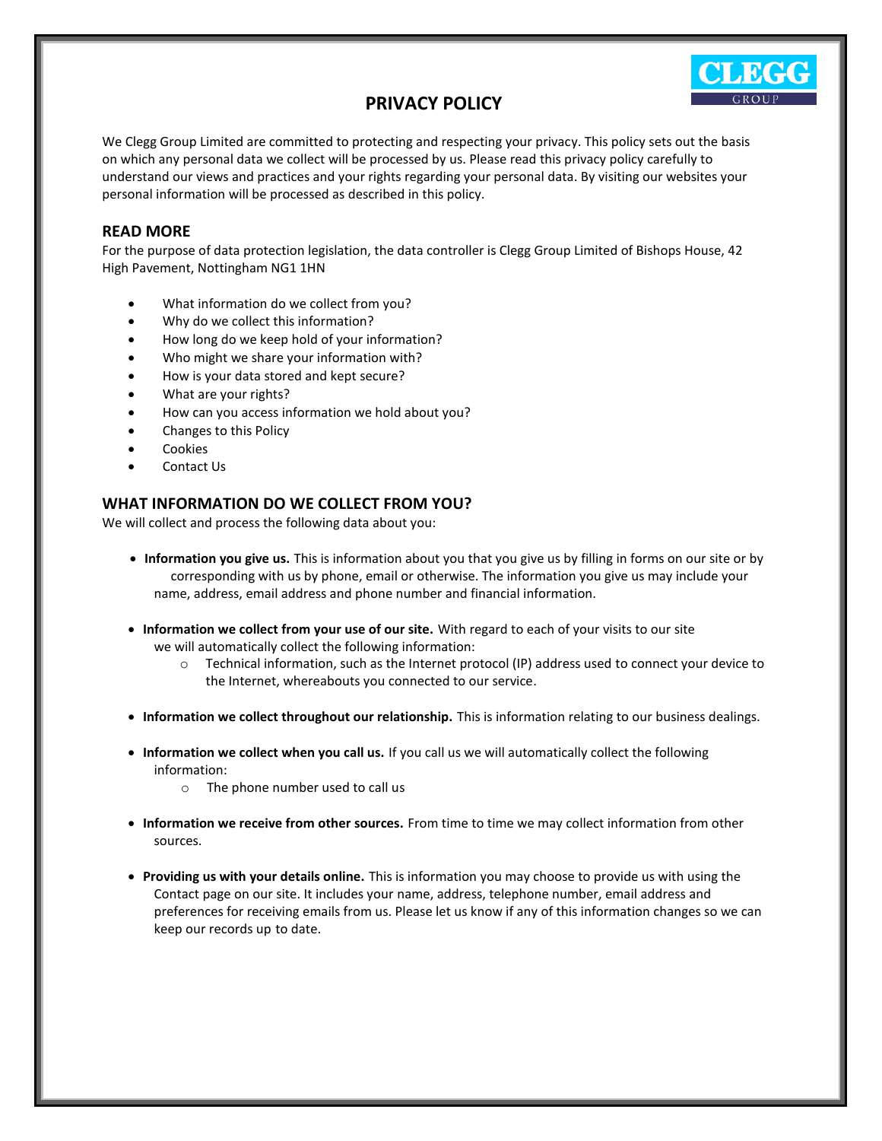# **PRIVACY POLICY**

We Clegg Group Limited are committed to protecting and respecting your privacy. This policy sets out the basis on which any personal data we collect will be processed by us. Please read this privacy policy carefully to understand our views and practices and your rights regarding your personal data. By visiting our websites your personal information will be processed as described in this policy.

#### **READ MORE**

For the purpose of data protection legislation, the data controller is Clegg Group Limited of Bishops House, 42 High Pavement, Nottingham NG1 1HN

- What information do we collect from you?
- Why do we collect this information?
- How long do we keep hold of your information?
- Who might we share your information with?
- How is your data stored and kept secure?
- What are your rights?
- How can you access information we hold about you?
- Changes to this Policy
- **Cookies**
- Contact Us

#### **WHAT INFORMATION DO WE COLLECT FROM YOU?**

We will collect and process the following data about you:

- **Information you give us.** This is information about you that you give us by filling in forms on our site or by corresponding with us by phone, email or otherwise. The information you give us may include your name, address, email address and phone number and financial information.
- **Information we collect from your use of our site.** With regard to each of your visits to our site we will automatically collect the following information:
	- o Technical information, such as the Internet protocol (IP) address used to connect your device to the Internet, whereabouts you connected to our service.
- **Information we collect throughout our relationship.** This is information relating to our business dealings.
- **Information we collect when you call us.** If you call us we will automatically collect the following information:
	- o The phone number used to call us
- **Information we receive from other sources.** From time to time we may collect information from other sources.
- **Providing us with your details online.** This is information you may choose to provide us with using the Contact page on our site. It includes your name, address, telephone number, email address and preferences for receiving emails from us. Please let us know if any of this information changes so we can keep our records up to date.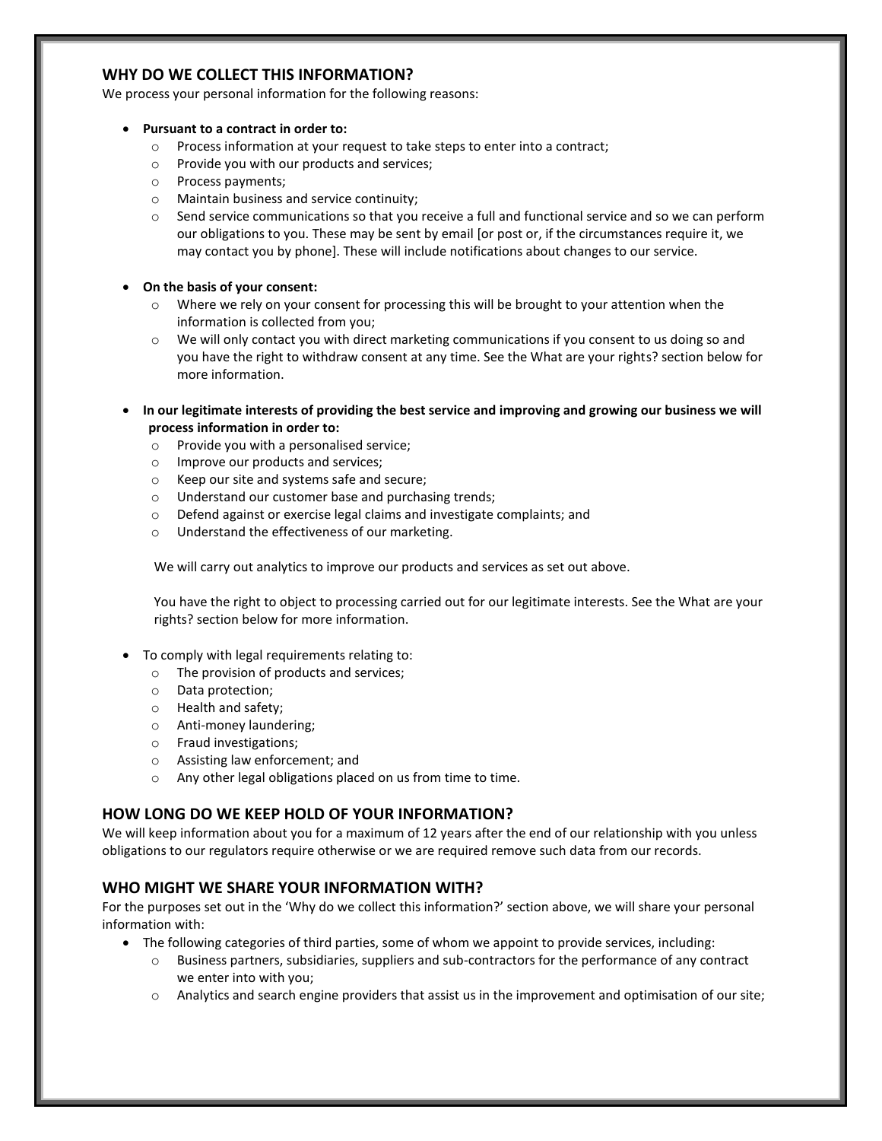# **WHY DO WE COLLECT THIS INFORMATION?**

We process your personal information for the following reasons:

- **Pursuant to a contract in order to:**
	- o Process information at your request to take steps to enter into a contract;
	- o Provide you with our products and services;
	- o Process payments;
	- o Maintain business and service continuity;
	- o Send service communications so that you receive a full and functional service and so we can perform our obligations to you. These may be sent by email [or post or, if the circumstances require it, we may contact you by phone]. These will include notifications about changes to our service.

#### • **On the basis of your consent:**

- $\circ$  Where we rely on your consent for processing this will be brought to your attention when the information is collected from you;
- o We will only contact you with direct marketing communications if you consent to us doing so and you have the right to withdraw consent at any time. See the What are your rights? section below for more information.
- **In our legitimate interests of providing the best service and improving and growing our business we will process information in order to:**
	- o Provide you with a personalised service;
	- o Improve our products and services;
	- o Keep our site and systems safe and secure;
	- o Understand our customer base and purchasing trends;
	- o Defend against or exercise legal claims and investigate complaints; and
	- o Understand the effectiveness of our marketing.

We will carry out analytics to improve our products and services as set out above.

You have the right to object to processing carried out for our legitimate interests. See the What are your rights? section below for more information.

- To comply with legal requirements relating to:
	- o The provision of products and services;
	- o Data protection;
	- o Health and safety;
	- o Anti-money laundering;
	- o Fraud investigations;
	- o Assisting law enforcement; and
	- o Any other legal obligations placed on us from time to time.

#### **HOW LONG DO WE KEEP HOLD OF YOUR INFORMATION?**

We will keep information about you for a maximum of 12 years after the end of our relationship with you unless obligations to our regulators require otherwise or we are required remove such data from our records.

### **WHO MIGHT WE SHARE YOUR INFORMATION WITH?**

For the purposes set out in the 'Why do we collect this information?' section above, we will share your personal information with:

- The following categories of third parties, some of whom we appoint to provide services, including:
	- o Business partners, subsidiaries, suppliers and sub-contractors for the performance of any contract we enter into with you;
	- o Analytics and search engine providers that assist us in the improvement and optimisation of our site;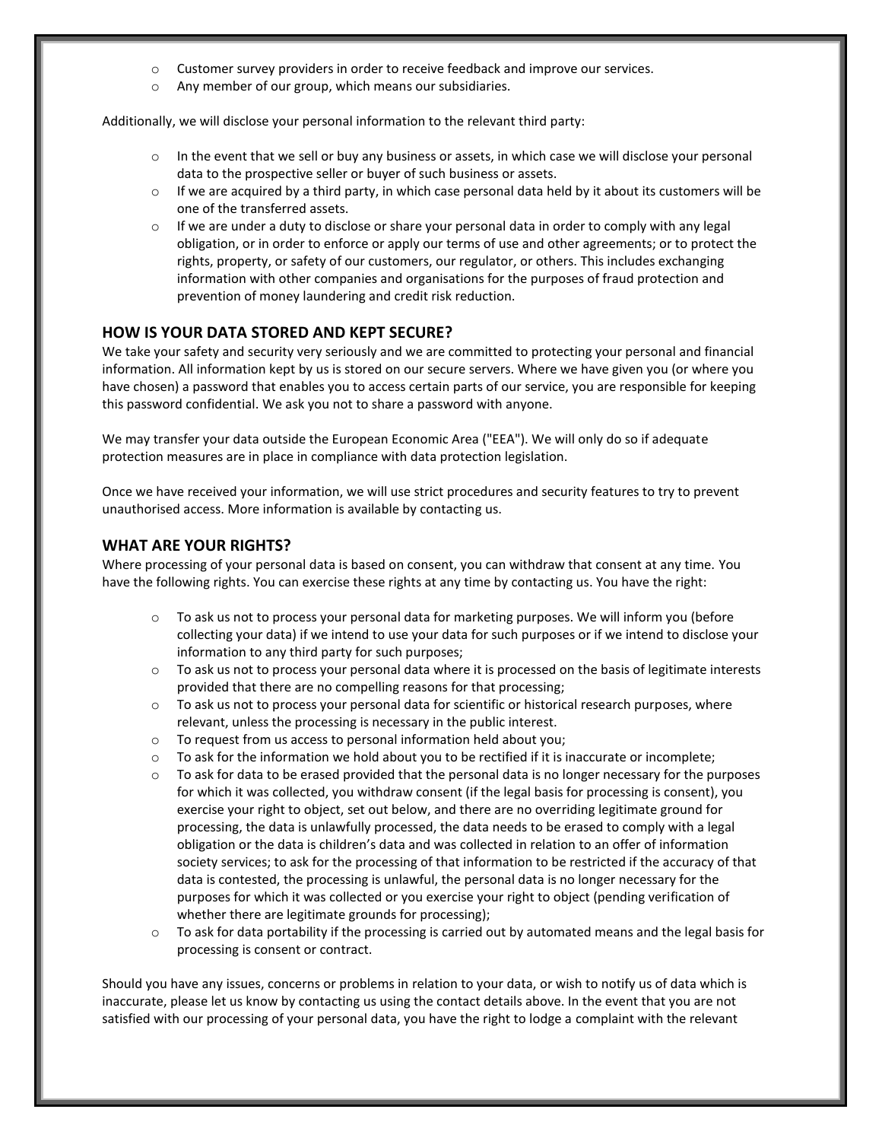- o Customer survey providers in order to receive feedback and improve our services.
- o Any member of our group, which means our subsidiaries.

Additionally, we will disclose your personal information to the relevant third party:

- o In the event that we sell or buy any business or assets, in which case we will disclose your personal data to the prospective seller or buyer of such business or assets.
- $\circ$  If we are acquired by a third party, in which case personal data held by it about its customers will be one of the transferred assets.
- $\circ$  If we are under a duty to disclose or share your personal data in order to comply with any legal obligation, or in order to enforce or apply our terms of use and other agreements; or to protect the rights, property, or safety of our customers, our regulator, or others. This includes exchanging information with other companies and organisations for the purposes of fraud protection and prevention of money laundering and credit risk reduction.

#### **HOW IS YOUR DATA STORED AND KEPT SECURE?**

We take your safety and security very seriously and we are committed to protecting your personal and financial information. All information kept by us is stored on our secure servers. Where we have given you (or where you have chosen) a password that enables you to access certain parts of our service, you are responsible for keeping this password confidential. We ask you not to share a password with anyone.

We may transfer your data outside the European Economic Area ("EEA"). We will only do so if adequate protection measures are in place in compliance with data protection legislation.

Once we have received your information, we will use strict procedures and security features to try to prevent unauthorised access. More information is available by contacting us.

#### **WHAT ARE YOUR RIGHTS?**

Where processing of your personal data is based on consent, you can withdraw that consent at any time. You have the following rights. You can exercise these rights at any time by contacting us. You have the right:

- o To ask us not to process your personal data for marketing purposes. We will inform you (before collecting your data) if we intend to use your data for such purposes or if we intend to disclose your information to any third party for such purposes;
- $\circ$  To ask us not to process your personal data where it is processed on the basis of legitimate interests provided that there are no compelling reasons for that processing;
- o To ask us not to process your personal data for scientific or historical research purposes, where relevant, unless the processing is necessary in the public interest.
- o To request from us access to personal information held about you;
- $\circ$  To ask for the information we hold about you to be rectified if it is inaccurate or incomplete;
- To ask for data to be erased provided that the personal data is no longer necessary for the purposes for which it was collected, you withdraw consent (if the legal basis for processing is consent), you exercise your right to object, set out below, and there are no overriding legitimate ground for processing, the data is unlawfully processed, the data needs to be erased to comply with a legal obligation or the data is children's data and was collected in relation to an offer of information society services; to ask for the processing of that information to be restricted if the accuracy of that data is contested, the processing is unlawful, the personal data is no longer necessary for the purposes for which it was collected or you exercise your right to object (pending verification of whether there are legitimate grounds for processing);
- $\circ$  To ask for data portability if the processing is carried out by automated means and the legal basis for processing is consent or contract.

Should you have any issues, concerns or problems in relation to your data, or wish to notify us of data which is inaccurate, please let us know by contacting us using the contact details above. In the event that you are not satisfied with our processing of your personal data, you have the right to lodge a complaint with the relevant